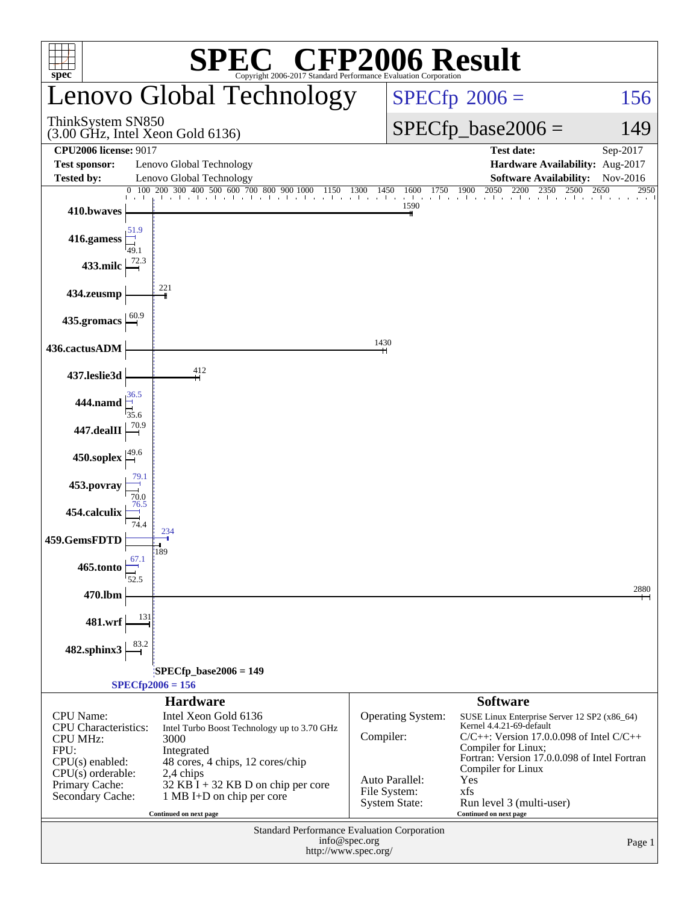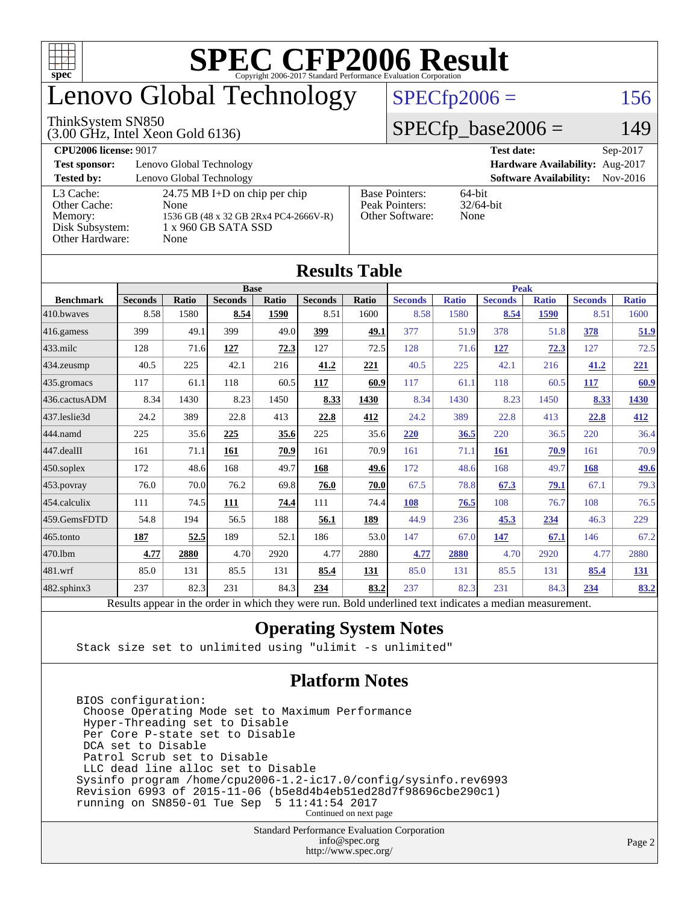

## enovo Global Technology

#### ThinkSystem SN850

(3.00 GHz, Intel Xeon Gold 6136)

### $SPECfp2006 = 156$  $SPECfp2006 = 156$

### $SPECfp\_base2006 = 149$

**[CPU2006 license:](http://www.spec.org/auto/cpu2006/Docs/result-fields.html#CPU2006license)** 9017 **[Test date:](http://www.spec.org/auto/cpu2006/Docs/result-fields.html#Testdate)** Sep-2017 **[Test sponsor:](http://www.spec.org/auto/cpu2006/Docs/result-fields.html#Testsponsor)** Lenovo Global Technology **[Hardware Availability:](http://www.spec.org/auto/cpu2006/Docs/result-fields.html#HardwareAvailability)** Aug-2017 **[Tested by:](http://www.spec.org/auto/cpu2006/Docs/result-fields.html#Testedby)** Lenovo Global Technology **[Software Availability:](http://www.spec.org/auto/cpu2006/Docs/result-fields.html#SoftwareAvailability)** Nov-2016 [L3 Cache:](http://www.spec.org/auto/cpu2006/Docs/result-fields.html#L3Cache) 24.75 MB I+D on chip per chip<br>Other Cache: None [Other Cache:](http://www.spec.org/auto/cpu2006/Docs/result-fields.html#OtherCache) [Memory:](http://www.spec.org/auto/cpu2006/Docs/result-fields.html#Memory) 1536 GB (48 x 32 GB 2Rx4 PC4-2666V-R) [Disk Subsystem:](http://www.spec.org/auto/cpu2006/Docs/result-fields.html#DiskSubsystem) 1 x 960 GB SATA SSD [Other Hardware:](http://www.spec.org/auto/cpu2006/Docs/result-fields.html#OtherHardware) None [Base Pointers:](http://www.spec.org/auto/cpu2006/Docs/result-fields.html#BasePointers) 64-bit<br>Peak Pointers: 32/64-bit [Peak Pointers:](http://www.spec.org/auto/cpu2006/Docs/result-fields.html#PeakPointers) [Other Software:](http://www.spec.org/auto/cpu2006/Docs/result-fields.html#OtherSoftware) None

| <b>Results Table</b>   |                                                                                                          |       |                |       |                |       |                |              |                |              |                |              |
|------------------------|----------------------------------------------------------------------------------------------------------|-------|----------------|-------|----------------|-------|----------------|--------------|----------------|--------------|----------------|--------------|
| <b>Benchmark</b>       | <b>Base</b>                                                                                              |       |                |       |                |       | <b>Peak</b>    |              |                |              |                |              |
|                        | <b>Seconds</b>                                                                                           | Ratio | <b>Seconds</b> | Ratio | <b>Seconds</b> | Ratio | <b>Seconds</b> | <b>Ratio</b> | <b>Seconds</b> | <b>Ratio</b> | <b>Seconds</b> | <b>Ratio</b> |
| 410.bwayes             | 8.58                                                                                                     | 1580  | 8.54           | 1590  | 8.51           | 1600  | 8.58           | 1580         | 8.54           | 1590         | 8.51           | 1600         |
| $416$ .gamess          | 399                                                                                                      | 49.1  | 399            | 49.0  | 399            | 49.1  | 377            | 51.9         | 378            | 51.8         | 378            | 51.9         |
| $ 433$ .milc           | 128                                                                                                      | 71.6  | 127            | 72.3  | 127            | 72.5  | 128            | 71.6         | 127            | 72.3         | 127            | 72.5         |
| $ 434$ . zeusmp        | 40.5                                                                                                     | 225   | 42.1           | 216   | 41.2           | 221   | 40.5           | 225          | 42.1           | 216          | 41.2           | <u>221</u>   |
| $435.\n$ gromacs       | 117                                                                                                      | 61.1  | 118            | 60.5  | 117            | 60.9  | 117            | 61.1         | 118            | 60.5         | 117            | 60.9         |
| 436.cactusADM          | 8.34                                                                                                     | 1430  | 8.23           | 1450  | 8.33           | 1430  | 8.34           | 1430         | 8.23           | 1450         | 8.33           | 1430         |
| 437.leslie3d           | 24.2                                                                                                     | 389   | 22.8           | 413   | 22.8           | 412   | 24.2           | 389          | 22.8           | 413          | 22.8           | 412          |
| 444.namd               | 225                                                                                                      | 35.6  | 225            | 35.6  | 225            | 35.6  | 220            | 36.5         | 220            | 36.5         | 220            | 36.4         |
| $ 447 \text{.}$ dealII | 161                                                                                                      | 71.1  | 161            | 70.9  | 161            | 70.9  | 161            | 71.1         | 161            | 70.9         | 161            | 70.9         |
| $450$ .soplex          | 172                                                                                                      | 48.6  | 168            | 49.7  | 168            | 49.6  | 172            | 48.6         | 168            | 49.7         | 168            | <u>49.6</u>  |
| $453$ .povray          | 76.0                                                                                                     | 70.0  | 76.2           | 69.8  | 76.0           | 70.0  | 67.5           | 78.8         | 67.3           | 79.1         | 67.1           | 79.3         |
| $454$ .calculix        | 111                                                                                                      | 74.5  | 111            | 74.4  | 111            | 74.4  | 108            | 76.5         | 108            | 76.7         | 108            | 76.5         |
| 459.GemsFDTD           | 54.8                                                                                                     | 194   | 56.5           | 188   | 56.1           | 189   | 44.9           | 236          | 45.3           | 234          | 46.3           | 229          |
| $ 465$ .tonto          | 187                                                                                                      | 52.5  | 189            | 52.1  | 186            | 53.0  | 147            | 67.0         | 147            | 67.1         | 146            | 67.2         |
| 470.1bm                | 4.77                                                                                                     | 2880  | 4.70           | 2920  | 4.77           | 2880  | 4.77           | 2880         | 4.70           | 2920         | 4.77           | 2880         |
| 481.wrf                | 85.0                                                                                                     | 131   | 85.5           | 131   | 85.4           | 131   | 85.0           | 131          | 85.5           | 131          | 85.4           | 131          |
| 482.sphinx3            | 237                                                                                                      | 82.3  | 231            | 84.3  | 234            | 83.2  | 237            | 82.3         | 231            | 84.3         | 234            | 83.2         |
|                        | Results appear in the order in which they were run. Bold underlined text indicates a median measurement. |       |                |       |                |       |                |              |                |              |                |              |

### **[Operating System Notes](http://www.spec.org/auto/cpu2006/Docs/result-fields.html#OperatingSystemNotes)**

Stack size set to unlimited using "ulimit -s unlimited"

### **[Platform Notes](http://www.spec.org/auto/cpu2006/Docs/result-fields.html#PlatformNotes)**

 BIOS configuration: Choose Operating Mode set to Maximum Performance Hyper-Threading set to Disable Per Core P-state set to Disable DCA set to Disable Patrol Scrub set to Disable LLC dead line alloc set to Disable Sysinfo program /home/cpu2006-1.2-ic17.0/config/sysinfo.rev6993 Revision 6993 of 2015-11-06 (b5e8d4b4eb51ed28d7f98696cbe290c1) running on SN850-01 Tue Sep 5 11:41:54 2017 Continued on next page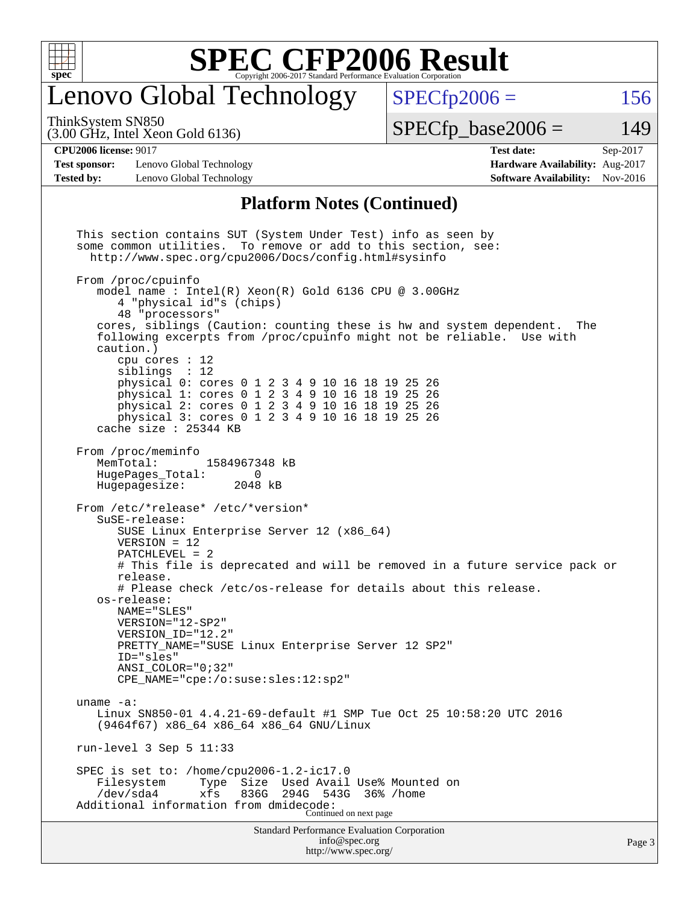

### enovo Global Technology

 $SPECTp2006 = 156$ 

(3.00 GHz, Intel Xeon Gold 6136) ThinkSystem SN850

 $SPECTp\_base2006 = 149$ 

#### **[CPU2006 license:](http://www.spec.org/auto/cpu2006/Docs/result-fields.html#CPU2006license)** 9017 **[Test date:](http://www.spec.org/auto/cpu2006/Docs/result-fields.html#Testdate)** Sep-2017

**[Test sponsor:](http://www.spec.org/auto/cpu2006/Docs/result-fields.html#Testsponsor)** Lenovo Global Technology **[Hardware Availability:](http://www.spec.org/auto/cpu2006/Docs/result-fields.html#HardwareAvailability)** Aug-2017 **[Tested by:](http://www.spec.org/auto/cpu2006/Docs/result-fields.html#Testedby)** Lenovo Global Technology **[Software Availability:](http://www.spec.org/auto/cpu2006/Docs/result-fields.html#SoftwareAvailability)** Nov-2016

#### **[Platform Notes \(Continued\)](http://www.spec.org/auto/cpu2006/Docs/result-fields.html#PlatformNotes)**

Standard Performance Evaluation Corporation [info@spec.org](mailto:info@spec.org) This section contains SUT (System Under Test) info as seen by some common utilities. To remove or add to this section, see: <http://www.spec.org/cpu2006/Docs/config.html#sysinfo> From /proc/cpuinfo model name : Intel(R) Xeon(R) Gold 6136 CPU @ 3.00GHz 4 "physical id"s (chips) 48 "processors" cores, siblings (Caution: counting these is hw and system dependent. The following excerpts from /proc/cpuinfo might not be reliable. Use with caution.) cpu cores : 12 siblings : 12 physical 0: cores 0 1 2 3 4 9 10 16 18 19 25 26 physical 1: cores 0 1 2 3 4 9 10 16 18 19 25 26 physical 2: cores 0 1 2 3 4 9 10 16 18 19 25 26 physical 3: cores 0 1 2 3 4 9 10 16 18 19 25 26 cache size : 25344 KB From /proc/meminfo MemTotal: 1584967348 kB HugePages\_Total: 0 Hugepagesize: 2048 kB From /etc/\*release\* /etc/\*version\* SuSE-release: SUSE Linux Enterprise Server 12 (x86\_64) VERSION = 12 PATCHLEVEL = 2 # This file is deprecated and will be removed in a future service pack or release. # Please check /etc/os-release for details about this release. os-release: NAME="SLES" VERSION="12-SP2" VERSION\_ID="12.2" PRETTY\_NAME="SUSE Linux Enterprise Server 12 SP2" ID="sles" ANSI\_COLOR="0;32" CPE\_NAME="cpe:/o:suse:sles:12:sp2" uname -a: Linux SN850-01 4.4.21-69-default #1 SMP Tue Oct 25 10:58:20 UTC 2016 (9464f67) x86\_64 x86\_64 x86\_64 GNU/Linux run-level 3 Sep 5 11:33 SPEC is set to: /home/cpu2006-1.2-ic17.0<br>Filesystem Type Size Used Avail Used Avail Use% Mounted on /dev/sda4 xfs 836G 294G 543G 36% /home Additional information from dmidecode: Continued on next page

<http://www.spec.org/>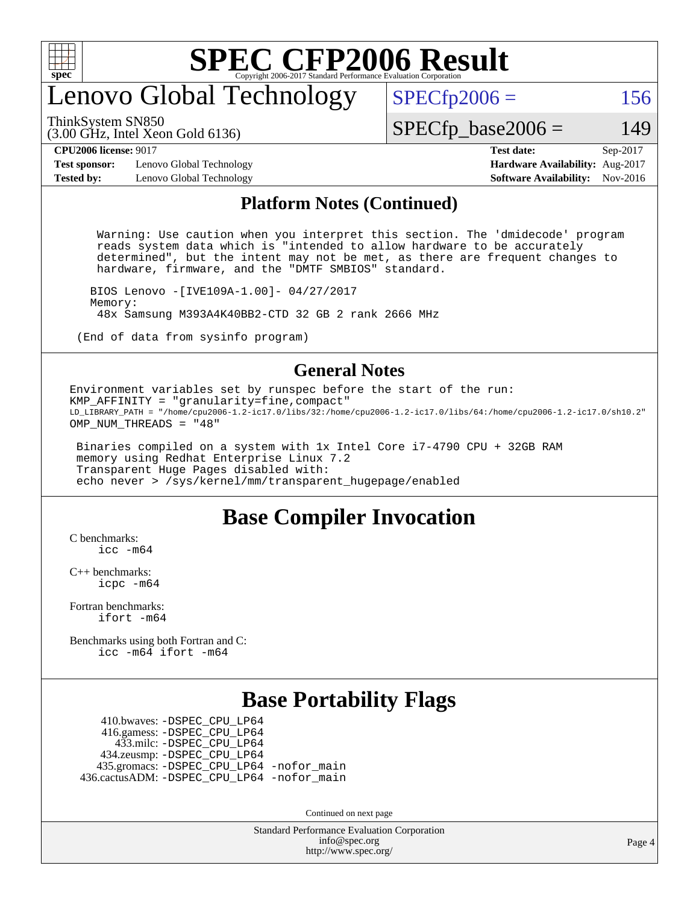

### enovo Global Technology

ThinkSystem SN850

(3.00 GHz, Intel Xeon Gold 6136)

 $SPECTp2006 = 156$ 

### $SPECTp\_base2006 = 149$

**[Test sponsor:](http://www.spec.org/auto/cpu2006/Docs/result-fields.html#Testsponsor)** Lenovo Global Technology **[Hardware Availability:](http://www.spec.org/auto/cpu2006/Docs/result-fields.html#HardwareAvailability)** Aug-2017 **[Tested by:](http://www.spec.org/auto/cpu2006/Docs/result-fields.html#Testedby)** Lenovo Global Technology **[Software Availability:](http://www.spec.org/auto/cpu2006/Docs/result-fields.html#SoftwareAvailability)** Nov-2016

**[CPU2006 license:](http://www.spec.org/auto/cpu2006/Docs/result-fields.html#CPU2006license)** 9017 **[Test date:](http://www.spec.org/auto/cpu2006/Docs/result-fields.html#Testdate)** Sep-2017

#### **[Platform Notes \(Continued\)](http://www.spec.org/auto/cpu2006/Docs/result-fields.html#PlatformNotes)**

 Warning: Use caution when you interpret this section. The 'dmidecode' program reads system data which is "intended to allow hardware to be accurately determined", but the intent may not be met, as there are frequent changes to hardware, firmware, and the "DMTF SMBIOS" standard.

 BIOS Lenovo -[IVE109A-1.00]- 04/27/2017 Memory: 48x Samsung M393A4K40BB2-CTD 32 GB 2 rank 2666 MHz

(End of data from sysinfo program)

### **[General Notes](http://www.spec.org/auto/cpu2006/Docs/result-fields.html#GeneralNotes)**

Environment variables set by runspec before the start of the run: KMP\_AFFINITY = "granularity=fine,compact" LD\_LIBRARY\_PATH = "/home/cpu2006-1.2-ic17.0/libs/32:/home/cpu2006-1.2-ic17.0/libs/64:/home/cpu2006-1.2-ic17.0/sh10.2" OMP\_NUM\_THREADS = "48"

 Binaries compiled on a system with 1x Intel Core i7-4790 CPU + 32GB RAM memory using Redhat Enterprise Linux 7.2 Transparent Huge Pages disabled with: echo never > /sys/kernel/mm/transparent\_hugepage/enabled

### **[Base Compiler Invocation](http://www.spec.org/auto/cpu2006/Docs/result-fields.html#BaseCompilerInvocation)**

[C benchmarks](http://www.spec.org/auto/cpu2006/Docs/result-fields.html#Cbenchmarks):  $inc - m64$ 

[C++ benchmarks:](http://www.spec.org/auto/cpu2006/Docs/result-fields.html#CXXbenchmarks) [icpc -m64](http://www.spec.org/cpu2006/results/res2017q4/cpu2006-20170918-50009.flags.html#user_CXXbase_intel_icpc_64bit_fc66a5337ce925472a5c54ad6a0de310)

[Fortran benchmarks](http://www.spec.org/auto/cpu2006/Docs/result-fields.html#Fortranbenchmarks): [ifort -m64](http://www.spec.org/cpu2006/results/res2017q4/cpu2006-20170918-50009.flags.html#user_FCbase_intel_ifort_64bit_ee9d0fb25645d0210d97eb0527dcc06e)

[Benchmarks using both Fortran and C](http://www.spec.org/auto/cpu2006/Docs/result-fields.html#BenchmarksusingbothFortranandC): [icc -m64](http://www.spec.org/cpu2006/results/res2017q4/cpu2006-20170918-50009.flags.html#user_CC_FCbase_intel_icc_64bit_bda6cc9af1fdbb0edc3795bac97ada53) [ifort -m64](http://www.spec.org/cpu2006/results/res2017q4/cpu2006-20170918-50009.flags.html#user_CC_FCbase_intel_ifort_64bit_ee9d0fb25645d0210d97eb0527dcc06e)

### **[Base Portability Flags](http://www.spec.org/auto/cpu2006/Docs/result-fields.html#BasePortabilityFlags)**

 410.bwaves: [-DSPEC\\_CPU\\_LP64](http://www.spec.org/cpu2006/results/res2017q4/cpu2006-20170918-50009.flags.html#suite_basePORTABILITY410_bwaves_DSPEC_CPU_LP64) 416.gamess: [-DSPEC\\_CPU\\_LP64](http://www.spec.org/cpu2006/results/res2017q4/cpu2006-20170918-50009.flags.html#suite_basePORTABILITY416_gamess_DSPEC_CPU_LP64) 433.milc: [-DSPEC\\_CPU\\_LP64](http://www.spec.org/cpu2006/results/res2017q4/cpu2006-20170918-50009.flags.html#suite_basePORTABILITY433_milc_DSPEC_CPU_LP64) 434.zeusmp: [-DSPEC\\_CPU\\_LP64](http://www.spec.org/cpu2006/results/res2017q4/cpu2006-20170918-50009.flags.html#suite_basePORTABILITY434_zeusmp_DSPEC_CPU_LP64) 435.gromacs: [-DSPEC\\_CPU\\_LP64](http://www.spec.org/cpu2006/results/res2017q4/cpu2006-20170918-50009.flags.html#suite_basePORTABILITY435_gromacs_DSPEC_CPU_LP64) [-nofor\\_main](http://www.spec.org/cpu2006/results/res2017q4/cpu2006-20170918-50009.flags.html#user_baseLDPORTABILITY435_gromacs_f-nofor_main) 436.cactusADM: [-DSPEC\\_CPU\\_LP64](http://www.spec.org/cpu2006/results/res2017q4/cpu2006-20170918-50009.flags.html#suite_basePORTABILITY436_cactusADM_DSPEC_CPU_LP64) [-nofor\\_main](http://www.spec.org/cpu2006/results/res2017q4/cpu2006-20170918-50009.flags.html#user_baseLDPORTABILITY436_cactusADM_f-nofor_main)

Continued on next page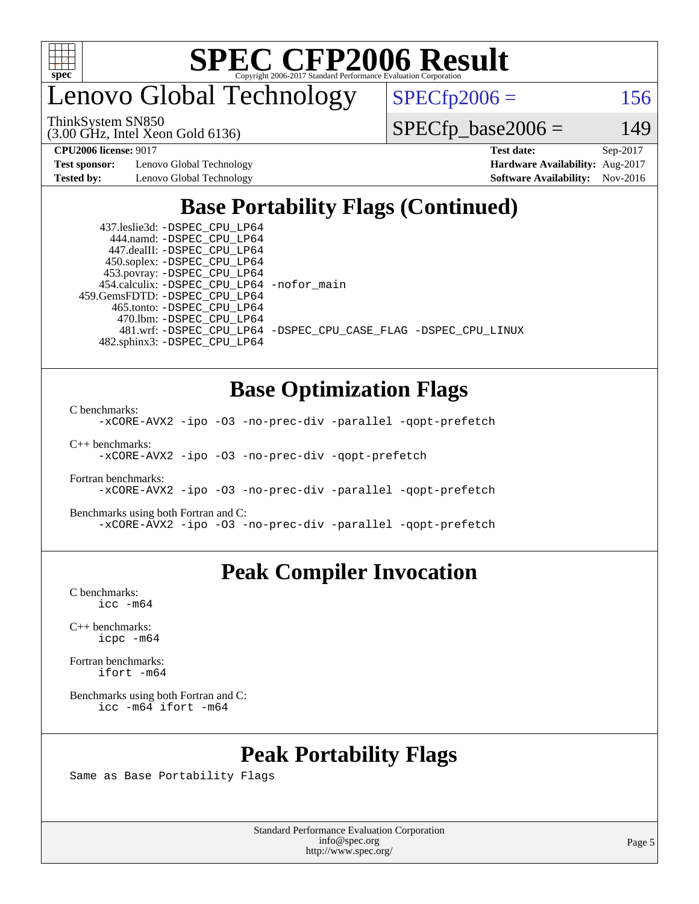

enovo Global Technology

 $SPECfp2006 = 156$  $SPECfp2006 = 156$ 

(3.00 GHz, Intel Xeon Gold 6136) ThinkSystem SN850

 $SPECfp\_base2006 = 149$ 

**[Test sponsor:](http://www.spec.org/auto/cpu2006/Docs/result-fields.html#Testsponsor)** Lenovo Global Technology **[Hardware Availability:](http://www.spec.org/auto/cpu2006/Docs/result-fields.html#HardwareAvailability)** Aug-2017

**[CPU2006 license:](http://www.spec.org/auto/cpu2006/Docs/result-fields.html#CPU2006license)** 9017 **[Test date:](http://www.spec.org/auto/cpu2006/Docs/result-fields.html#Testdate)** Sep-2017 **[Tested by:](http://www.spec.org/auto/cpu2006/Docs/result-fields.html#Testedby)** Lenovo Global Technology **[Software Availability:](http://www.spec.org/auto/cpu2006/Docs/result-fields.html#SoftwareAvailability)** Nov-2016

### **[Base Portability Flags \(Continued\)](http://www.spec.org/auto/cpu2006/Docs/result-fields.html#BasePortabilityFlags)**

 437.leslie3d: [-DSPEC\\_CPU\\_LP64](http://www.spec.org/cpu2006/results/res2017q4/cpu2006-20170918-50009.flags.html#suite_basePORTABILITY437_leslie3d_DSPEC_CPU_LP64) 444.namd: [-DSPEC\\_CPU\\_LP64](http://www.spec.org/cpu2006/results/res2017q4/cpu2006-20170918-50009.flags.html#suite_basePORTABILITY444_namd_DSPEC_CPU_LP64) 447.dealII: [-DSPEC\\_CPU\\_LP64](http://www.spec.org/cpu2006/results/res2017q4/cpu2006-20170918-50009.flags.html#suite_basePORTABILITY447_dealII_DSPEC_CPU_LP64) 450.soplex: [-DSPEC\\_CPU\\_LP64](http://www.spec.org/cpu2006/results/res2017q4/cpu2006-20170918-50009.flags.html#suite_basePORTABILITY450_soplex_DSPEC_CPU_LP64) 453.povray: [-DSPEC\\_CPU\\_LP64](http://www.spec.org/cpu2006/results/res2017q4/cpu2006-20170918-50009.flags.html#suite_basePORTABILITY453_povray_DSPEC_CPU_LP64) 454.calculix: [-DSPEC\\_CPU\\_LP64](http://www.spec.org/cpu2006/results/res2017q4/cpu2006-20170918-50009.flags.html#suite_basePORTABILITY454_calculix_DSPEC_CPU_LP64) [-nofor\\_main](http://www.spec.org/cpu2006/results/res2017q4/cpu2006-20170918-50009.flags.html#user_baseLDPORTABILITY454_calculix_f-nofor_main) 459.GemsFDTD: [-DSPEC\\_CPU\\_LP64](http://www.spec.org/cpu2006/results/res2017q4/cpu2006-20170918-50009.flags.html#suite_basePORTABILITY459_GemsFDTD_DSPEC_CPU_LP64) 465.tonto: [-DSPEC\\_CPU\\_LP64](http://www.spec.org/cpu2006/results/res2017q4/cpu2006-20170918-50009.flags.html#suite_basePORTABILITY465_tonto_DSPEC_CPU_LP64) 470.lbm: [-DSPEC\\_CPU\\_LP64](http://www.spec.org/cpu2006/results/res2017q4/cpu2006-20170918-50009.flags.html#suite_basePORTABILITY470_lbm_DSPEC_CPU_LP64) 482.sphinx3: [-DSPEC\\_CPU\\_LP64](http://www.spec.org/cpu2006/results/res2017q4/cpu2006-20170918-50009.flags.html#suite_basePORTABILITY482_sphinx3_DSPEC_CPU_LP64)

481.wrf: [-DSPEC\\_CPU\\_LP64](http://www.spec.org/cpu2006/results/res2017q4/cpu2006-20170918-50009.flags.html#suite_basePORTABILITY481_wrf_DSPEC_CPU_LP64) [-DSPEC\\_CPU\\_CASE\\_FLAG](http://www.spec.org/cpu2006/results/res2017q4/cpu2006-20170918-50009.flags.html#b481.wrf_baseCPORTABILITY_DSPEC_CPU_CASE_FLAG) [-DSPEC\\_CPU\\_LINUX](http://www.spec.org/cpu2006/results/res2017q4/cpu2006-20170918-50009.flags.html#b481.wrf_baseCPORTABILITY_DSPEC_CPU_LINUX)

### **[Base Optimization Flags](http://www.spec.org/auto/cpu2006/Docs/result-fields.html#BaseOptimizationFlags)**

[C benchmarks](http://www.spec.org/auto/cpu2006/Docs/result-fields.html#Cbenchmarks):

[-xCORE-AVX2](http://www.spec.org/cpu2006/results/res2017q4/cpu2006-20170918-50009.flags.html#user_CCbase_f-xCORE-AVX2) [-ipo](http://www.spec.org/cpu2006/results/res2017q4/cpu2006-20170918-50009.flags.html#user_CCbase_f-ipo) [-O3](http://www.spec.org/cpu2006/results/res2017q4/cpu2006-20170918-50009.flags.html#user_CCbase_f-O3) [-no-prec-div](http://www.spec.org/cpu2006/results/res2017q4/cpu2006-20170918-50009.flags.html#user_CCbase_f-no-prec-div) [-parallel](http://www.spec.org/cpu2006/results/res2017q4/cpu2006-20170918-50009.flags.html#user_CCbase_f-parallel) [-qopt-prefetch](http://www.spec.org/cpu2006/results/res2017q4/cpu2006-20170918-50009.flags.html#user_CCbase_f-qopt-prefetch)

[C++ benchmarks:](http://www.spec.org/auto/cpu2006/Docs/result-fields.html#CXXbenchmarks)

[-xCORE-AVX2](http://www.spec.org/cpu2006/results/res2017q4/cpu2006-20170918-50009.flags.html#user_CXXbase_f-xCORE-AVX2) [-ipo](http://www.spec.org/cpu2006/results/res2017q4/cpu2006-20170918-50009.flags.html#user_CXXbase_f-ipo) [-O3](http://www.spec.org/cpu2006/results/res2017q4/cpu2006-20170918-50009.flags.html#user_CXXbase_f-O3) [-no-prec-div](http://www.spec.org/cpu2006/results/res2017q4/cpu2006-20170918-50009.flags.html#user_CXXbase_f-no-prec-div) [-qopt-prefetch](http://www.spec.org/cpu2006/results/res2017q4/cpu2006-20170918-50009.flags.html#user_CXXbase_f-qopt-prefetch)

[Fortran benchmarks](http://www.spec.org/auto/cpu2006/Docs/result-fields.html#Fortranbenchmarks): [-xCORE-AVX2](http://www.spec.org/cpu2006/results/res2017q4/cpu2006-20170918-50009.flags.html#user_FCbase_f-xCORE-AVX2) [-ipo](http://www.spec.org/cpu2006/results/res2017q4/cpu2006-20170918-50009.flags.html#user_FCbase_f-ipo) [-O3](http://www.spec.org/cpu2006/results/res2017q4/cpu2006-20170918-50009.flags.html#user_FCbase_f-O3) [-no-prec-div](http://www.spec.org/cpu2006/results/res2017q4/cpu2006-20170918-50009.flags.html#user_FCbase_f-no-prec-div) [-parallel](http://www.spec.org/cpu2006/results/res2017q4/cpu2006-20170918-50009.flags.html#user_FCbase_f-parallel) [-qopt-prefetch](http://www.spec.org/cpu2006/results/res2017q4/cpu2006-20170918-50009.flags.html#user_FCbase_f-qopt-prefetch)

[Benchmarks using both Fortran and C](http://www.spec.org/auto/cpu2006/Docs/result-fields.html#BenchmarksusingbothFortranandC): [-xCORE-AVX2](http://www.spec.org/cpu2006/results/res2017q4/cpu2006-20170918-50009.flags.html#user_CC_FCbase_f-xCORE-AVX2) [-ipo](http://www.spec.org/cpu2006/results/res2017q4/cpu2006-20170918-50009.flags.html#user_CC_FCbase_f-ipo) [-O3](http://www.spec.org/cpu2006/results/res2017q4/cpu2006-20170918-50009.flags.html#user_CC_FCbase_f-O3) [-no-prec-div](http://www.spec.org/cpu2006/results/res2017q4/cpu2006-20170918-50009.flags.html#user_CC_FCbase_f-no-prec-div) [-parallel](http://www.spec.org/cpu2006/results/res2017q4/cpu2006-20170918-50009.flags.html#user_CC_FCbase_f-parallel) [-qopt-prefetch](http://www.spec.org/cpu2006/results/res2017q4/cpu2006-20170918-50009.flags.html#user_CC_FCbase_f-qopt-prefetch)

### **[Peak Compiler Invocation](http://www.spec.org/auto/cpu2006/Docs/result-fields.html#PeakCompilerInvocation)**

[C benchmarks](http://www.spec.org/auto/cpu2006/Docs/result-fields.html#Cbenchmarks): [icc -m64](http://www.spec.org/cpu2006/results/res2017q4/cpu2006-20170918-50009.flags.html#user_CCpeak_intel_icc_64bit_bda6cc9af1fdbb0edc3795bac97ada53)

[C++ benchmarks:](http://www.spec.org/auto/cpu2006/Docs/result-fields.html#CXXbenchmarks) [icpc -m64](http://www.spec.org/cpu2006/results/res2017q4/cpu2006-20170918-50009.flags.html#user_CXXpeak_intel_icpc_64bit_fc66a5337ce925472a5c54ad6a0de310)

[Fortran benchmarks](http://www.spec.org/auto/cpu2006/Docs/result-fields.html#Fortranbenchmarks): [ifort -m64](http://www.spec.org/cpu2006/results/res2017q4/cpu2006-20170918-50009.flags.html#user_FCpeak_intel_ifort_64bit_ee9d0fb25645d0210d97eb0527dcc06e)

[Benchmarks using both Fortran and C](http://www.spec.org/auto/cpu2006/Docs/result-fields.html#BenchmarksusingbothFortranandC): [icc -m64](http://www.spec.org/cpu2006/results/res2017q4/cpu2006-20170918-50009.flags.html#user_CC_FCpeak_intel_icc_64bit_bda6cc9af1fdbb0edc3795bac97ada53) [ifort -m64](http://www.spec.org/cpu2006/results/res2017q4/cpu2006-20170918-50009.flags.html#user_CC_FCpeak_intel_ifort_64bit_ee9d0fb25645d0210d97eb0527dcc06e)

### **[Peak Portability Flags](http://www.spec.org/auto/cpu2006/Docs/result-fields.html#PeakPortabilityFlags)**

Same as Base Portability Flags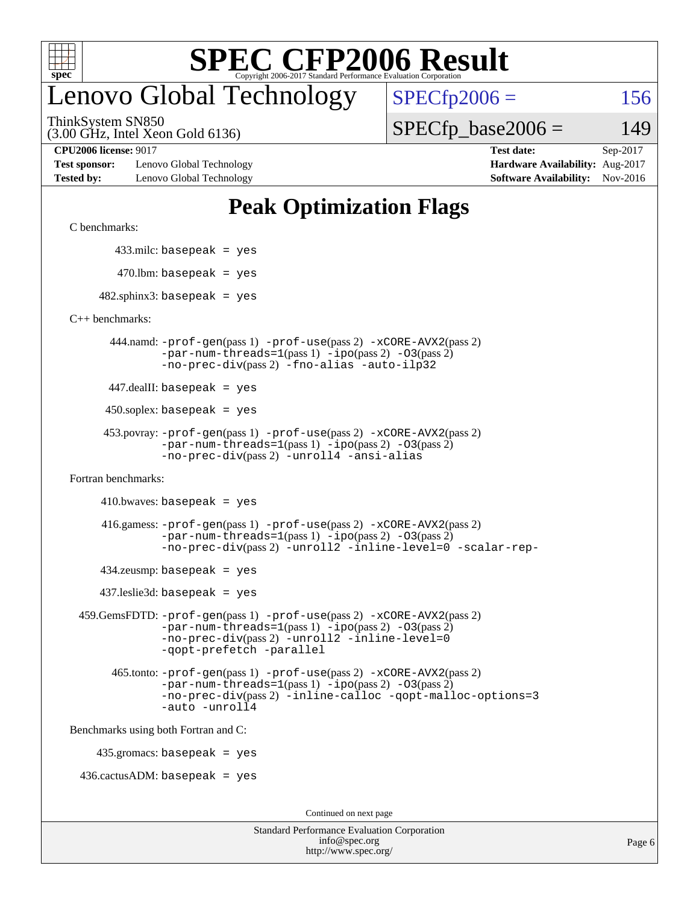

## enovo Global Technology

ThinkSystem SN850

(3.00 GHz, Intel Xeon Gold 6136)

 $SPECTp2006 = 156$ 

 $SPECTp\_base2006 = 149$ 

**[Test sponsor:](http://www.spec.org/auto/cpu2006/Docs/result-fields.html#Testsponsor)** Lenovo Global Technology **[Hardware Availability:](http://www.spec.org/auto/cpu2006/Docs/result-fields.html#HardwareAvailability)** Aug-2017 **[Tested by:](http://www.spec.org/auto/cpu2006/Docs/result-fields.html#Testedby)** Lenovo Global Technology **[Software Availability:](http://www.spec.org/auto/cpu2006/Docs/result-fields.html#SoftwareAvailability)** Nov-2016

**[CPU2006 license:](http://www.spec.org/auto/cpu2006/Docs/result-fields.html#CPU2006license)** 9017 **[Test date:](http://www.spec.org/auto/cpu2006/Docs/result-fields.html#Testdate)** Sep-2017

### **[Peak Optimization Flags](http://www.spec.org/auto/cpu2006/Docs/result-fields.html#PeakOptimizationFlags)**

[C benchmarks](http://www.spec.org/auto/cpu2006/Docs/result-fields.html#Cbenchmarks):

433.milc: basepeak = yes

 $470.$ lbm: basepeak = yes

 $482$ .sphinx3: basepeak = yes

[C++ benchmarks:](http://www.spec.org/auto/cpu2006/Docs/result-fields.html#CXXbenchmarks)

 444.namd: [-prof-gen](http://www.spec.org/cpu2006/results/res2017q4/cpu2006-20170918-50009.flags.html#user_peakPASS1_CXXFLAGSPASS1_LDFLAGS444_namd_prof_gen_e43856698f6ca7b7e442dfd80e94a8fc)(pass 1) [-prof-use](http://www.spec.org/cpu2006/results/res2017q4/cpu2006-20170918-50009.flags.html#user_peakPASS2_CXXFLAGSPASS2_LDFLAGS444_namd_prof_use_bccf7792157ff70d64e32fe3e1250b55)(pass 2) [-xCORE-AVX2](http://www.spec.org/cpu2006/results/res2017q4/cpu2006-20170918-50009.flags.html#user_peakPASS2_CXXFLAGSPASS2_LDFLAGS444_namd_f-xCORE-AVX2)(pass 2)  $-par-num-threads=1(pass 1) -ipo(pass 2) -O3(pass 2)$  $-par-num-threads=1(pass 1) -ipo(pass 2) -O3(pass 2)$  $-par-num-threads=1(pass 1) -ipo(pass 2) -O3(pass 2)$  $-par-num-threads=1(pass 1) -ipo(pass 2) -O3(pass 2)$  $-par-num-threads=1(pass 1) -ipo(pass 2) -O3(pass 2)$  $-par-num-threads=1(pass 1) -ipo(pass 2) -O3(pass 2)$ [-no-prec-div](http://www.spec.org/cpu2006/results/res2017q4/cpu2006-20170918-50009.flags.html#user_peakPASS2_CXXFLAGSPASS2_LDFLAGS444_namd_f-no-prec-div)(pass 2) [-fno-alias](http://www.spec.org/cpu2006/results/res2017q4/cpu2006-20170918-50009.flags.html#user_peakCXXOPTIMIZEOPTIMIZE444_namd_f-no-alias_694e77f6c5a51e658e82ccff53a9e63a) [-auto-ilp32](http://www.spec.org/cpu2006/results/res2017q4/cpu2006-20170918-50009.flags.html#user_peakCXXOPTIMIZE444_namd_f-auto-ilp32)

447.dealII: basepeak = yes

 $450$ .soplex: basepeak = yes

```
 453.povray: -prof-gen(pass 1) -prof-use(pass 2) -xCORE-AVX2(pass 2)
  -par-num-threads=1-ipo-O3(pass 2)-no-prec-div(pass 2) -unroll4 -ansi-alias
```
[Fortran benchmarks](http://www.spec.org/auto/cpu2006/Docs/result-fields.html#Fortranbenchmarks):

 $410.bwaves: basepeak = yes$ 

```
 416.gamess: -prof-gen(pass 1) -prof-use(pass 2) -xCORE-AVX2(pass 2)
  -par-num-threads=1-ipo-O3(pass 2)-no-prec-div(pass 2) -unroll2 -inline-level=0 -scalar-rep-
```
 $434$ .zeusmp: basepeak = yes

437.leslie3d: basepeak = yes

```
 459.GemsFDTD: -prof-gen(pass 1) -prof-use(pass 2) -xCORE-AVX2(pass 2)
     -par-num-threads=1-ipo-O3(pass 2)-no-prec-div(pass 2) -unroll2 -inline-level=0
     -qopt-prefetch -parallel
```

```
 465.tonto: -prof-gen(pass 1) -prof-use(pass 2) -xCORE-AVX2(pass 2)
-par-num-threads=1-ipo-O3(pass 2)-no-prec-div(pass 2) -inline-calloc -qopt-malloc-options=3
-auto -unroll4
```
[Benchmarks using both Fortran and C](http://www.spec.org/auto/cpu2006/Docs/result-fields.html#BenchmarksusingbothFortranandC):

435.gromacs: basepeak = yes

 $436.cactusADM:basepeak = yes$ 

Continued on next page

| <b>Standard Performance Evaluation Corporation</b> |
|----------------------------------------------------|
| info@spec.org                                      |
| http://www.spec.org/                               |